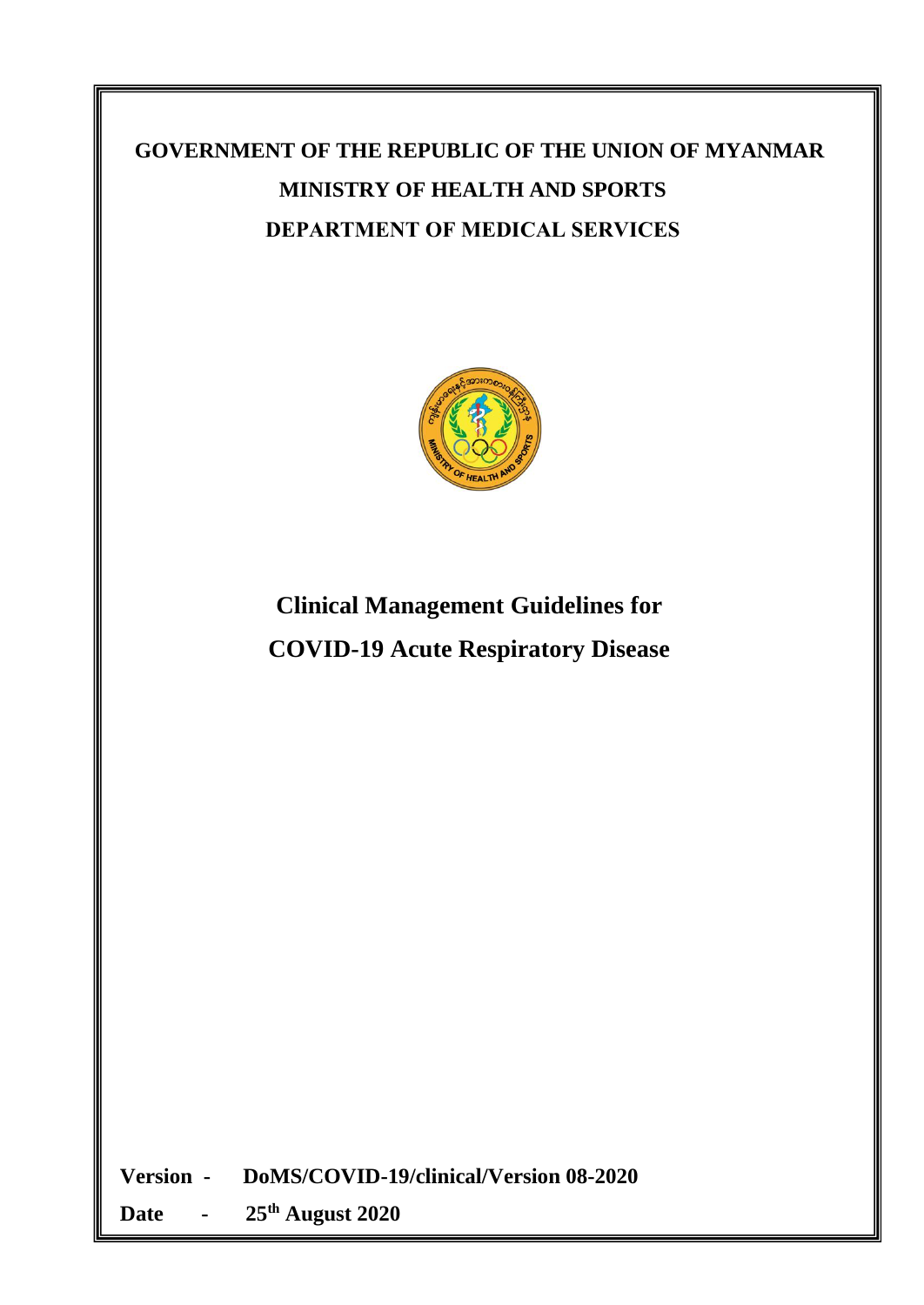# **GOVERNMENT OF THE REPUBLIC OF THE UNION OF MYANMAR MINISTRY OF HEALTH AND SPORTS DEPARTMENT OF MEDICAL SERVICES**



# **Clinical Management Guidelines for COVID-19 Acute Respiratory Disease**

**Version - DoMS/COVID-19/clinical/Version 08-2020**

**Date - 25 th August 2020**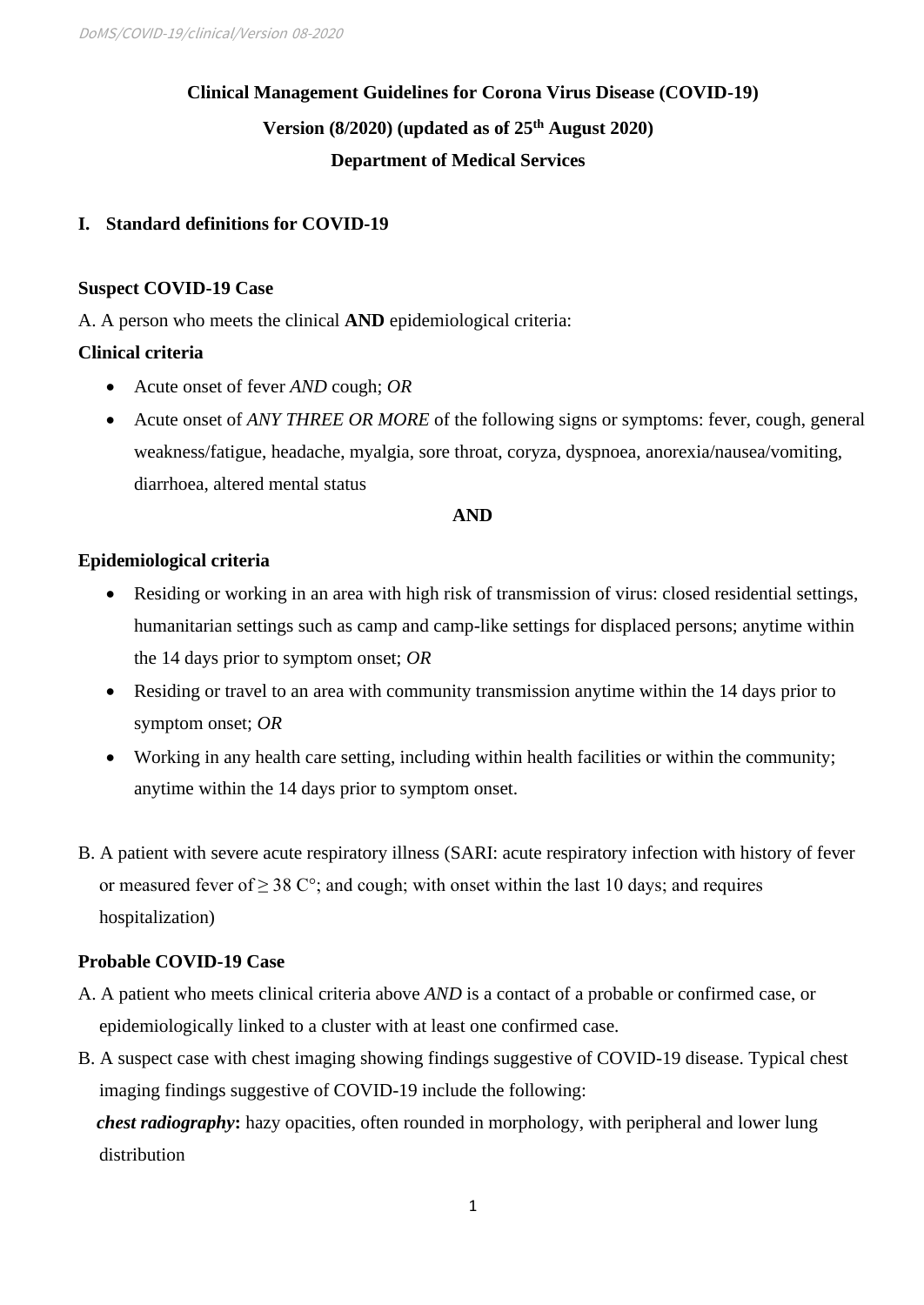## **Clinical Management Guidelines for Corona Virus Disease (COVID-19) Version (8/2020) (updated as of 25 th August 2020) Department of Medical Services**

## **I. Standard definitions for COVID-19**

## **Suspect COVID-19 Case**

A. A person who meets the clinical **AND** epidemiological criteria:

## **Clinical criteria**

- Acute onset of fever *AND* cough; *OR*
- Acute onset of *ANY THREE OR MORE* of the following signs or symptoms: fever, cough, general weakness/fatigue, headache, myalgia, sore throat, coryza, dyspnoea, anorexia/nausea/vomiting, diarrhoea, altered mental status

### **AND**

## **Epidemiological criteria**

- Residing or working in an area with high risk of transmission of virus: closed residential settings, humanitarian settings such as camp and camp-like settings for displaced persons; anytime within the 14 days prior to symptom onset; *OR*
- Residing or travel to an area with community transmission anytime within the 14 days prior to symptom onset; *OR*
- Working in any health care setting, including within health facilities or within the community; anytime within the 14 days prior to symptom onset.
- B. A patient with severe acute respiratory illness (SARI: acute respiratory infection with history of fever or measured fever of  $\geq 38$  C°; and cough; with onset within the last 10 days; and requires hospitalization)

## **Probable COVID-19 Case**

- A. A patient who meets clinical criteria above *AND* is a contact of a probable or confirmed case, or epidemiologically linked to a cluster with at least one confirmed case.
- B. A suspect case with chest imaging showing findings suggestive of COVID-19 disease. Typical chest imaging findings suggestive of COVID-19 include the following:

 *chest radiography***:** hazy opacities, often rounded in morphology, with peripheral and lower lung distribution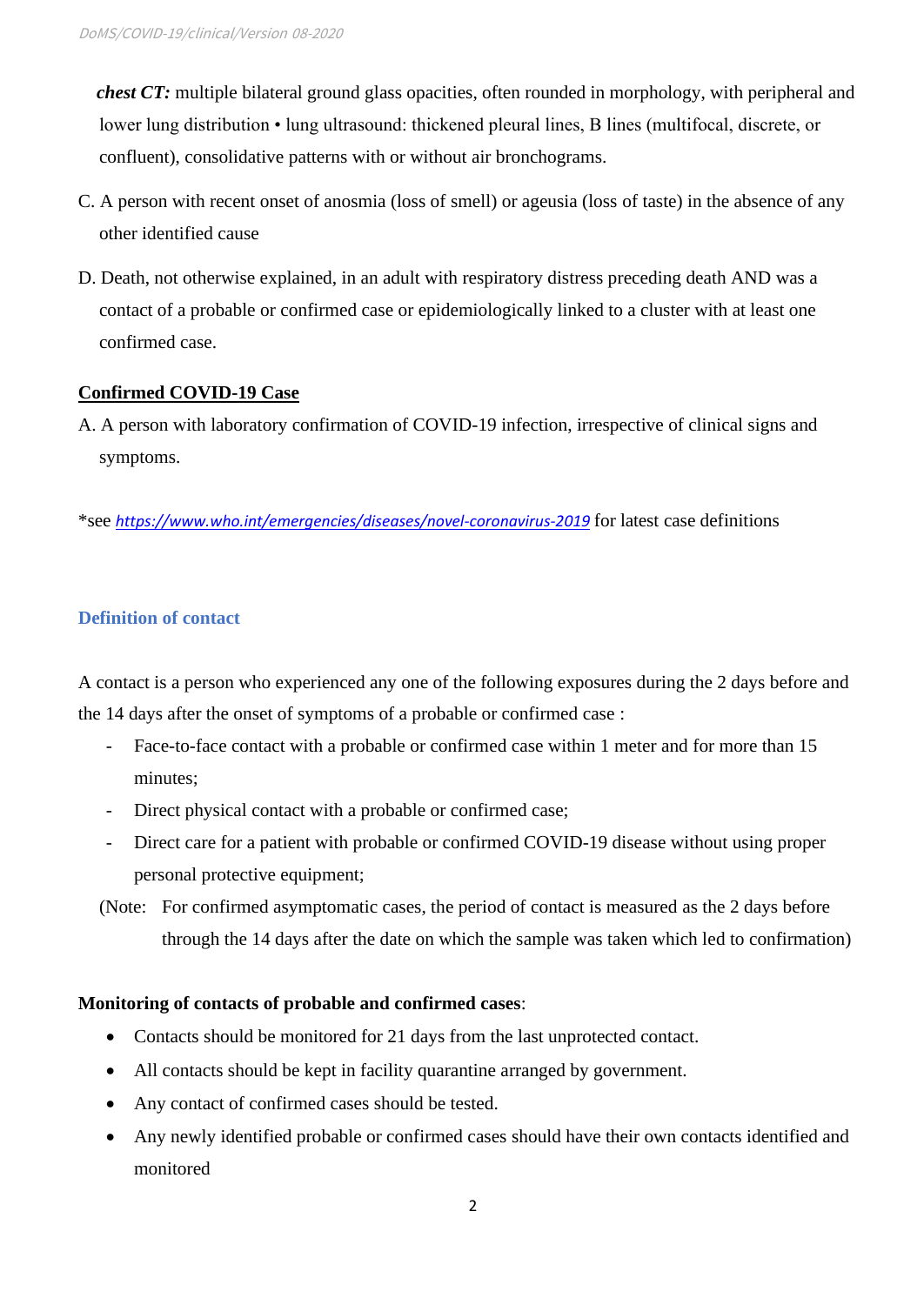*chest CT:* multiple bilateral ground glass opacities, often rounded in morphology, with peripheral and lower lung distribution • lung ultrasound: thickened pleural lines, B lines (multifocal, discrete, or confluent), consolidative patterns with or without air bronchograms.

- C. A person with recent onset of anosmia (loss of smell) or ageusia (loss of taste) in the absence of any other identified cause
- D. Death, not otherwise explained, in an adult with respiratory distress preceding death AND was a contact of a probable or confirmed case or epidemiologically linked to a cluster with at least one confirmed case.

## **Confirmed COVID-19 Case**

A. A person with laboratory confirmation of COVID-19 infection, irrespective of clinical signs and symptoms.

\*see *<https://www.who.int/emergencies/diseases/novel-coronavirus-2019>* for latest case definitions

### **Definition of contact**

A contact is a person who experienced any one of the following exposures during the 2 days before and the 14 days after the onset of symptoms of a probable or confirmed case :

- Face-to-face contact with a probable or confirmed case within 1 meter and for more than 15 minutes;
- Direct physical contact with a probable or confirmed case;
- Direct care for a patient with probable or confirmed COVID-19 disease without using proper personal protective equipment;
- (Note: For confirmed asymptomatic cases, the period of contact is measured as the 2 days before through the 14 days after the date on which the sample was taken which led to confirmation)

#### **Monitoring of contacts of probable and confirmed cases**:

- Contacts should be monitored for 21 days from the last unprotected contact.
- All contacts should be kept in facility quarantine arranged by government.
- Any contact of confirmed cases should be tested.
- Any newly identified probable or confirmed cases should have their own contacts identified and monitored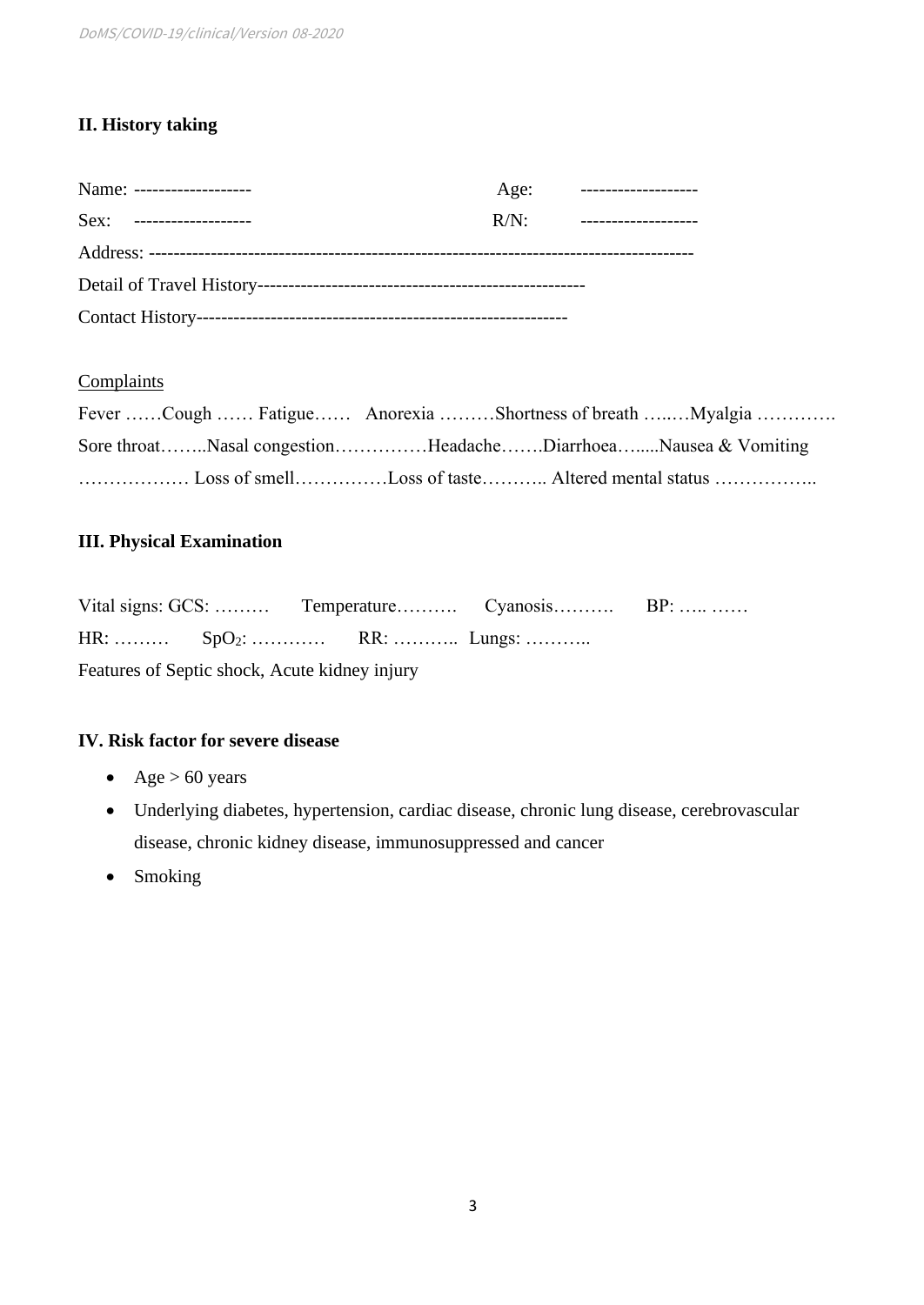## **II. History taking**

| Name: -------------------- |         | Age: -------------------- |
|----------------------------|---------|---------------------------|
| Sex: --------------------  | $R/N$ : | ____________________      |
|                            |         |                           |
|                            |         |                           |
|                            |         |                           |

## **Complaints**

|                                                               |  | Fever Cough  Fatigue Anorexia Shortness of breath Myalgia |
|---------------------------------------------------------------|--|-----------------------------------------------------------|
| Sore throatNasal congestionHeadacheDiarrhoeaNausea & Vomiting |  |                                                           |
|                                                               |  |                                                           |

## **III. Physical Examination**

|                                               |  |                            | Vital signs: GCS:  Temperature Cyanosis BP: |  |  |  |
|-----------------------------------------------|--|----------------------------|---------------------------------------------|--|--|--|
|                                               |  | HR: $SpO_2$ :  RR:  Lungs: |                                             |  |  |  |
| Features of Septic shock, Acute kidney injury |  |                            |                                             |  |  |  |

## **IV. Risk factor for severe disease**

- Age  $> 60$  years
- Underlying diabetes, hypertension, cardiac disease, chronic lung disease, cerebrovascular disease, chronic kidney disease, immunosuppressed and cancer
- Smoking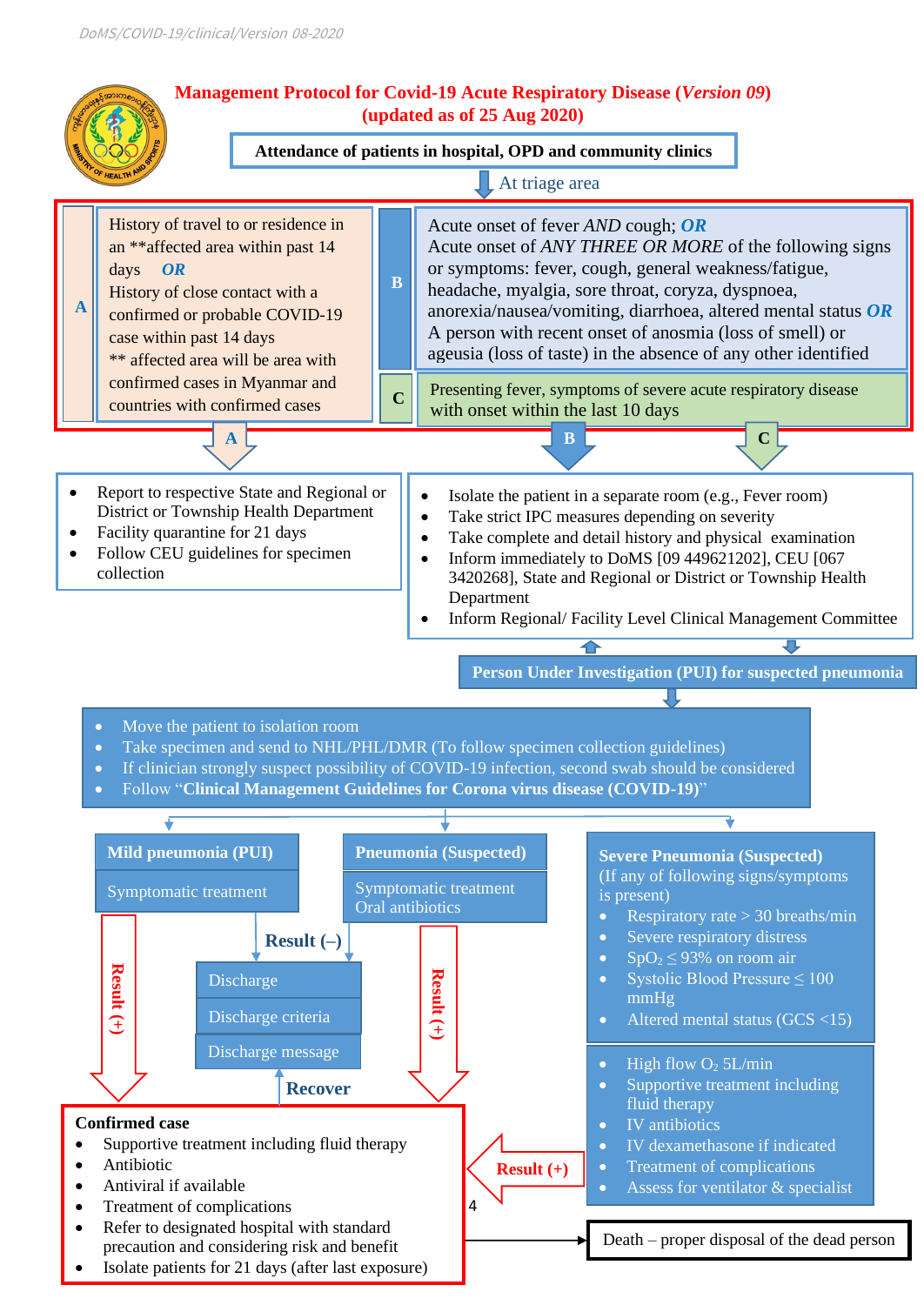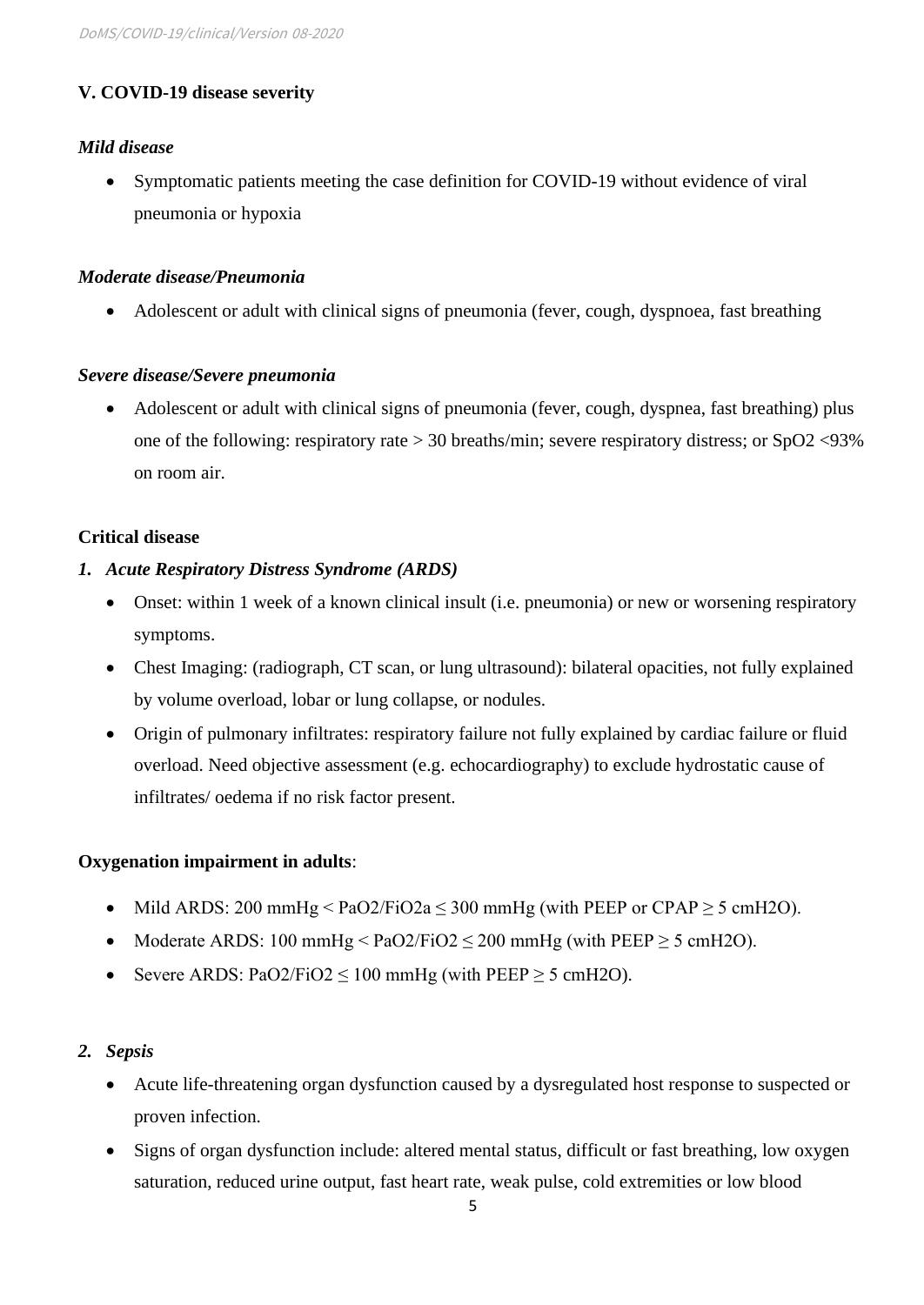## **V. COVID-19 disease severity**

## *Mild disease*

• Symptomatic patients meeting the case definition for COVID-19 without evidence of viral pneumonia or hypoxia

### *Moderate disease/Pneumonia*

• Adolescent or adult with clinical signs of pneumonia (fever, cough, dyspnoea, fast breathing

### *Severe disease/Severe pneumonia*

• Adolescent or adult with clinical signs of pneumonia (fever, cough, dyspnea, fast breathing) plus one of the following: respiratory rate > 30 breaths/min; severe respiratory distress; or SpO2 <93% on room air.

### **Critical disease**

### *1. Acute Respiratory Distress Syndrome (ARDS)*

- Onset: within 1 week of a known clinical insult (i.e. pneumonia) or new or worsening respiratory symptoms.
- Chest Imaging: (radiograph, CT scan, or lung ultrasound): bilateral opacities, not fully explained by volume overload, lobar or lung collapse, or nodules.
- Origin of pulmonary infiltrates: respiratory failure not fully explained by cardiac failure or fluid overload. Need objective assessment (e.g. echocardiography) to exclude hydrostatic cause of infiltrates/ oedema if no risk factor present.

## **Oxygenation impairment in adults**:

- Mild ARDS: 200 mmHg < PaO2/FiO2a  $\leq$  300 mmHg (with PEEP or CPAP  $\geq$  5 cmH2O).
- Moderate ARDS: 100 mmHg  $\leq$  PaO2/FiO2  $\leq$  200 mmHg (with PEEP  $\geq$  5 cmH2O).
- Severe ARDS: PaO2/FiO2  $\leq$  100 mmHg (with PEEP  $\geq$  5 cmH2O).

## *2. Sepsis*

- Acute life-threatening organ dysfunction caused by a dysregulated host response to suspected or proven infection.
- Signs of organ dysfunction include: altered mental status, difficult or fast breathing, low oxygen saturation, reduced urine output, fast heart rate, weak pulse, cold extremities or low blood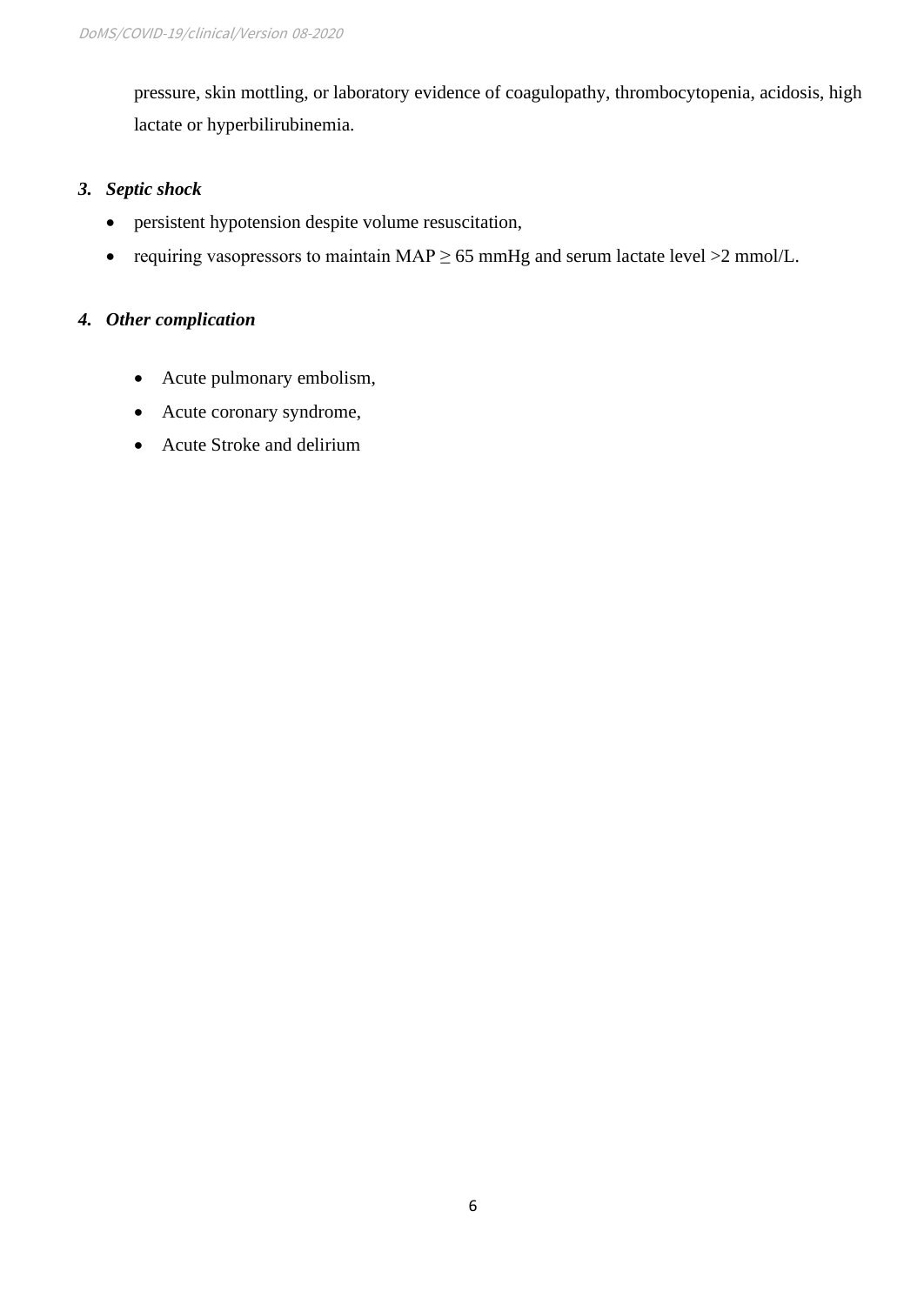pressure, skin mottling, or laboratory evidence of coagulopathy, thrombocytopenia, acidosis, high lactate or hyperbilirubinemia.

## *3. Septic shock*

- persistent hypotension despite volume resuscitation,
- requiring vasopressors to maintain  $MAP \ge 65$  mmHg and serum lactate level  $>2$  mmol/L.

## *4. Other complication*

- Acute pulmonary embolism,
- Acute coronary syndrome,
- Acute Stroke and delirium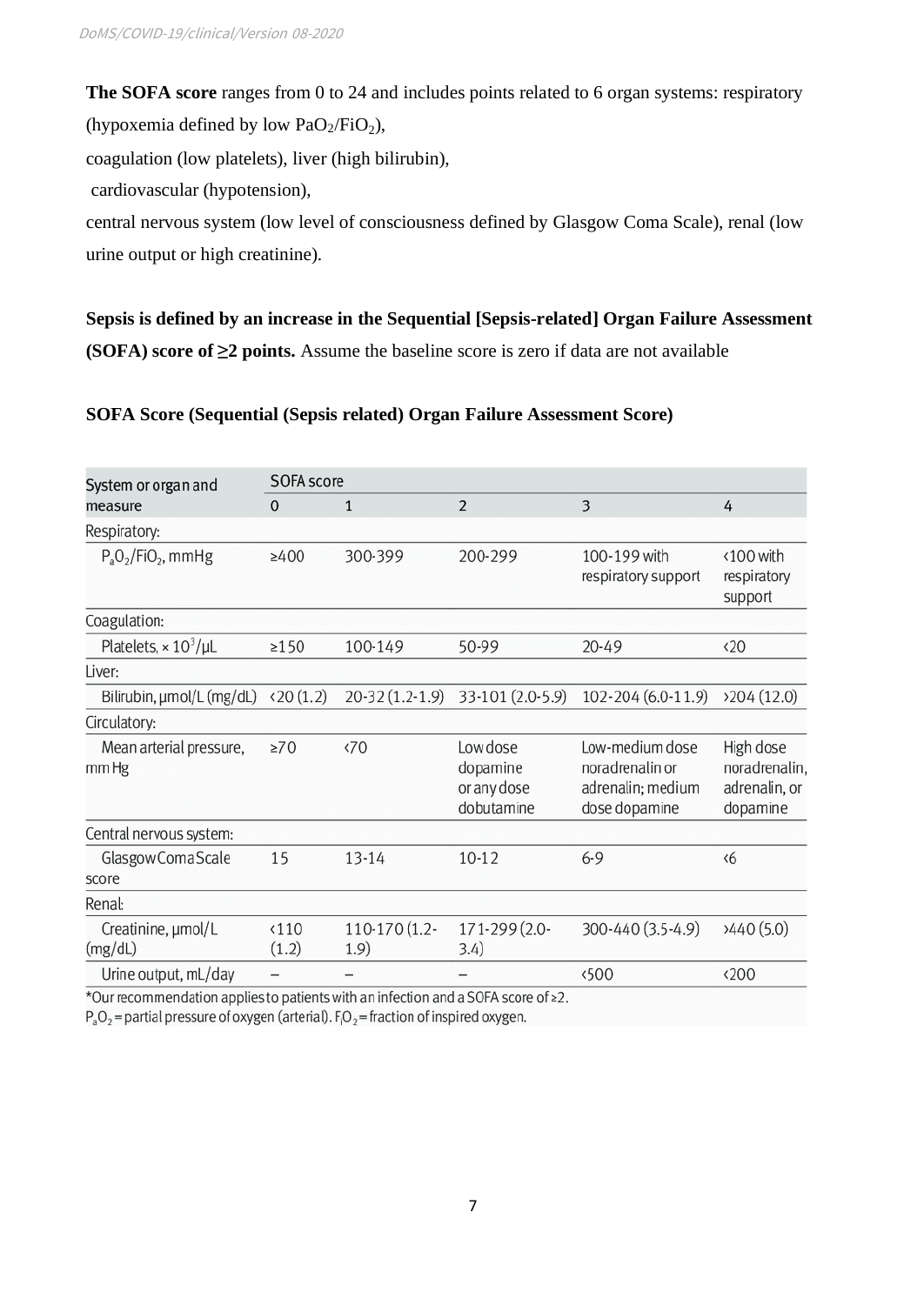**The SOFA score** ranges from 0 to 24 and includes points related to 6 organ systems: respiratory (hypoxemia defined by low  $PaO<sub>2</sub>/FiO<sub>2</sub>$ ),

coagulation (low platelets), liver (high bilirubin),

cardiovascular (hypotension),

central nervous system (low level of consciousness defined by Glasgow Coma Scale), renal (low urine output or high creatinine).

**Sepsis is defined by an increase in the Sequential [Sepsis-related] Organ Failure Assessment (SOFA) score of ≥2 points.** Assume the baseline score is zero if data are not available

### **SOFA Score (Sequential (Sepsis related) Organ Failure Assessment Score)**

| System or organ and<br>measure                 | SOFA score             |                                |                                                   |                                                                          |                                                         |  |
|------------------------------------------------|------------------------|--------------------------------|---------------------------------------------------|--------------------------------------------------------------------------|---------------------------------------------------------|--|
|                                                | $\mathbf{0}$           | 1                              | $\overline{2}$                                    | 3                                                                        | 4                                                       |  |
| Respiratory:                                   |                        |                                |                                                   |                                                                          |                                                         |  |
| $P_aO_2/FiO_2$ , mmHg                          | $\geq 400$             | 300-399                        | 200-299                                           | 100-199 with<br>respiratory support                                      | <100 with<br>respiratory<br>support                     |  |
| Coagulation:                                   |                        |                                |                                                   |                                                                          |                                                         |  |
| Platelets, $\times 10^3/\mu L$                 | $\geq$ 150             | 100-149                        | 50-99                                             | $20 - 49$                                                                | $\langle 20$                                            |  |
| Liver:                                         |                        |                                |                                                   |                                                                          |                                                         |  |
| Bilirubin, µmol/L (mg/dL)                      | (20(1.2))              | $20-32(1.2-1.9)$               | 33-101 (2.0-5.9)                                  | 102-204 (6.0-11.9)                                                       | 204(12.0)                                               |  |
| Circulatory:                                   |                        |                                |                                                   |                                                                          |                                                         |  |
| Mean arterial pressure,<br>mm Hg               | $\geq 70$              | $\langle 70$                   | Low dose<br>dopamine<br>or any dose<br>dobutamine | Low-medium dose<br>noradrenalin or<br>adrenalin; medium<br>dose dopamine | High dose<br>noradrenalin,<br>adrenalin, or<br>dopamine |  |
| Central nervous system:                        |                        |                                |                                                   |                                                                          |                                                         |  |
| Glasgow Coma Scale<br>score                    | 15                     | 13-14                          | $10 - 12$                                         | $6 - 9$                                                                  | $\langle 6$                                             |  |
| Renal:                                         |                        |                                |                                                   |                                                                          |                                                         |  |
| Creatinine, µmol/L<br>(mg/dL)                  | $\langle 110$<br>(1.2) | 110-170 (1.2-<br>1.9)          | 171-299 (2.0-<br>3.4)                             | 300-440 (3.5-4.9)                                                        | 3440(5.0)                                               |  |
| Urine output, mL/day<br>$\sim$<br>$\mathbf{1}$ |                        | $\cdot$ $\cdot$ $\cdot$<br>1.1 | $\sim$ $\sim$ $\sim$ $\sim$ $\sim$<br>$\sim$      | <500                                                                     | $\langle 200$                                           |  |

\*Our recommendation applies to patients with an infection and a SOFA score of  $\geq$ 2.

 $P_aO_2$  = partial pressure of oxygen (arterial).  $F_1O_2$  = fraction of inspired oxygen.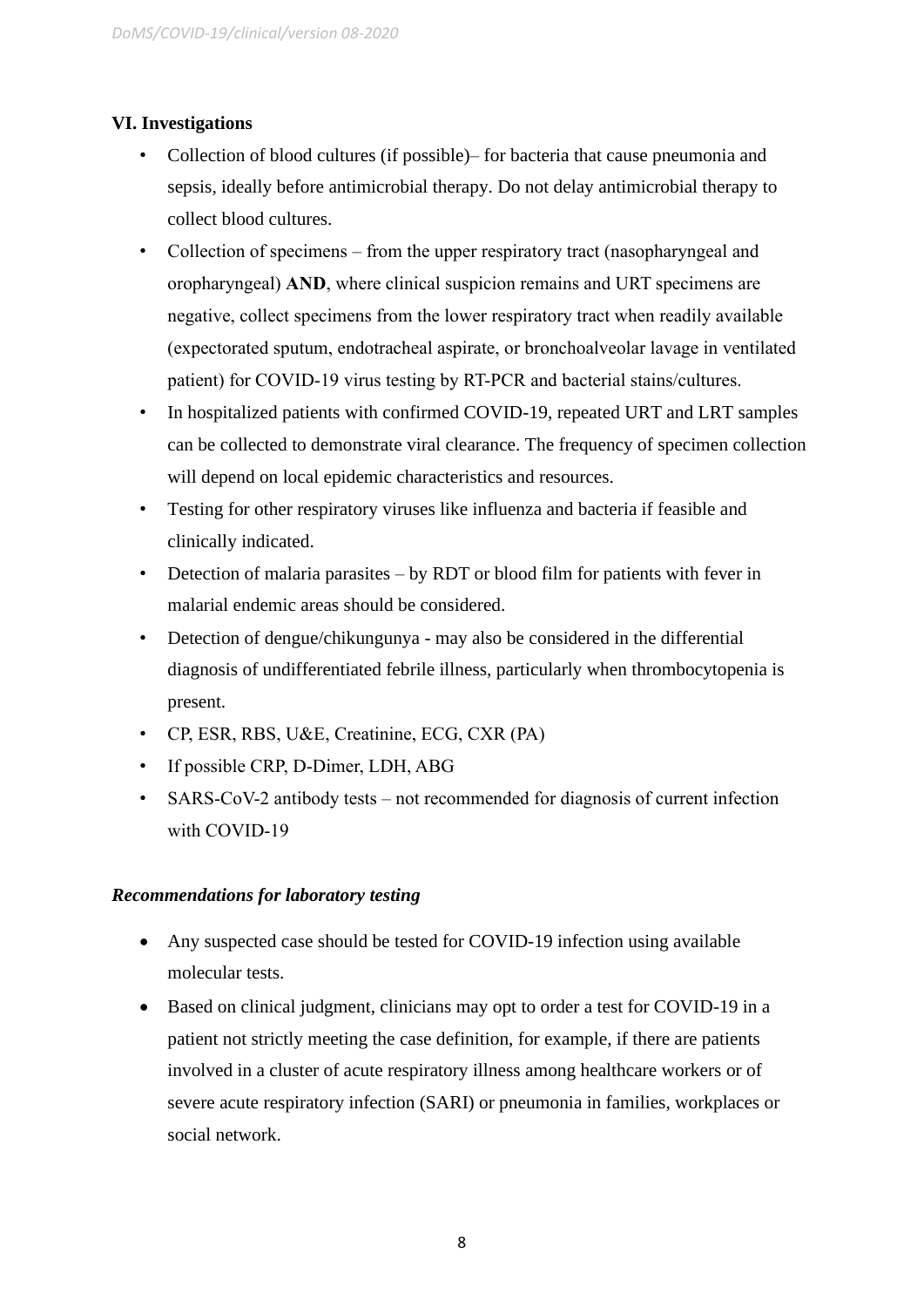## **VI. Investigations**

- Collection of blood cultures (if possible)– for bacteria that cause pneumonia and sepsis, ideally before antimicrobial therapy. Do not delay antimicrobial therapy to collect blood cultures.
- Collection of specimens from the upper respiratory tract (nasopharyngeal and oropharyngeal) **AND**, where clinical suspicion remains and URT specimens are negative, collect specimens from the lower respiratory tract when readily available (expectorated sputum, endotracheal aspirate, or bronchoalveolar lavage in ventilated patient) for COVID-19 virus testing by RT-PCR and bacterial stains/cultures.
- In hospitalized patients with confirmed COVID-19, repeated URT and LRT samples can be collected to demonstrate viral clearance. The frequency of specimen collection will depend on local epidemic characteristics and resources.
- Testing for other respiratory viruses like influenza and bacteria if feasible and clinically indicated.
- Detection of malaria parasites by RDT or blood film for patients with fever in malarial endemic areas should be considered.
- Detection of dengue/chikungunya may also be considered in the differential diagnosis of undifferentiated febrile illness, particularly when thrombocytopenia is present.
- CP, ESR, RBS, U&E, Creatinine, ECG, CXR (PA)
- If possible CRP, D-Dimer, LDH, ABG
- SARS-CoV-2 antibody tests not recommended for diagnosis of current infection with COVID-19

## *Recommendations for laboratory testing*

- Any suspected case should be tested for COVID-19 infection using available molecular tests.
- Based on clinical judgment, clinicians may opt to order a test for COVID-19 in a patient not strictly meeting the case definition, for example, if there are patients involved in a cluster of acute respiratory illness among healthcare workers or of severe acute respiratory infection (SARI) or pneumonia in families, workplaces or social network.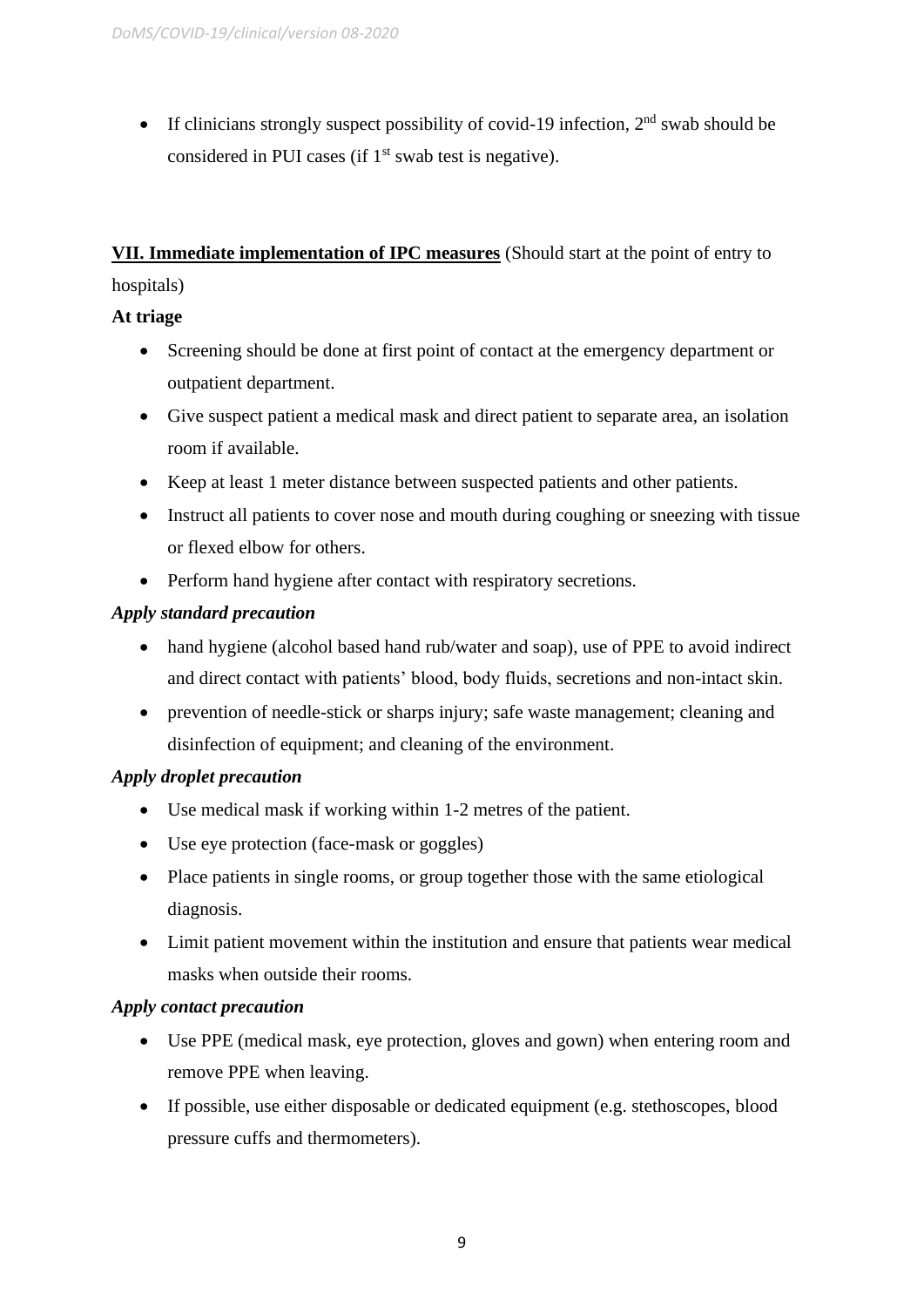• If clinicians strongly suspect possibility of covid-19 infection,  $2<sup>nd</sup>$  swab should be considered in PUI cases (if  $1<sup>st</sup>$  swab test is negative).

**VII. Immediate implementation of IPC measures** (Should start at the point of entry to hospitals)

## **At triage**

- Screening should be done at first point of contact at the emergency department or outpatient department.
- Give suspect patient a medical mask and direct patient to separate area, an isolation room if available.
- Keep at least 1 meter distance between suspected patients and other patients.
- Instruct all patients to cover nose and mouth during coughing or sneezing with tissue or flexed elbow for others.
- Perform hand hygiene after contact with respiratory secretions.

## *Apply standard precaution*

- hand hygiene (alcohol based hand rub/water and soap), use of PPE to avoid indirect and direct contact with patients' blood, body fluids, secretions and non-intact skin.
- prevention of needle-stick or sharps injury; safe waste management; cleaning and disinfection of equipment; and cleaning of the environment.

## *Apply droplet precaution*

- Use medical mask if working within 1-2 metres of the patient.
- Use eye protection (face-mask or goggles)
- Place patients in single rooms, or group together those with the same etiological diagnosis.
- Limit patient movement within the institution and ensure that patients wear medical masks when outside their rooms.

## *Apply contact precaution*

- Use PPE (medical mask, eye protection, gloves and gown) when entering room and remove PPE when leaving.
- If possible, use either disposable or dedicated equipment (e.g. stethoscopes, blood pressure cuffs and thermometers).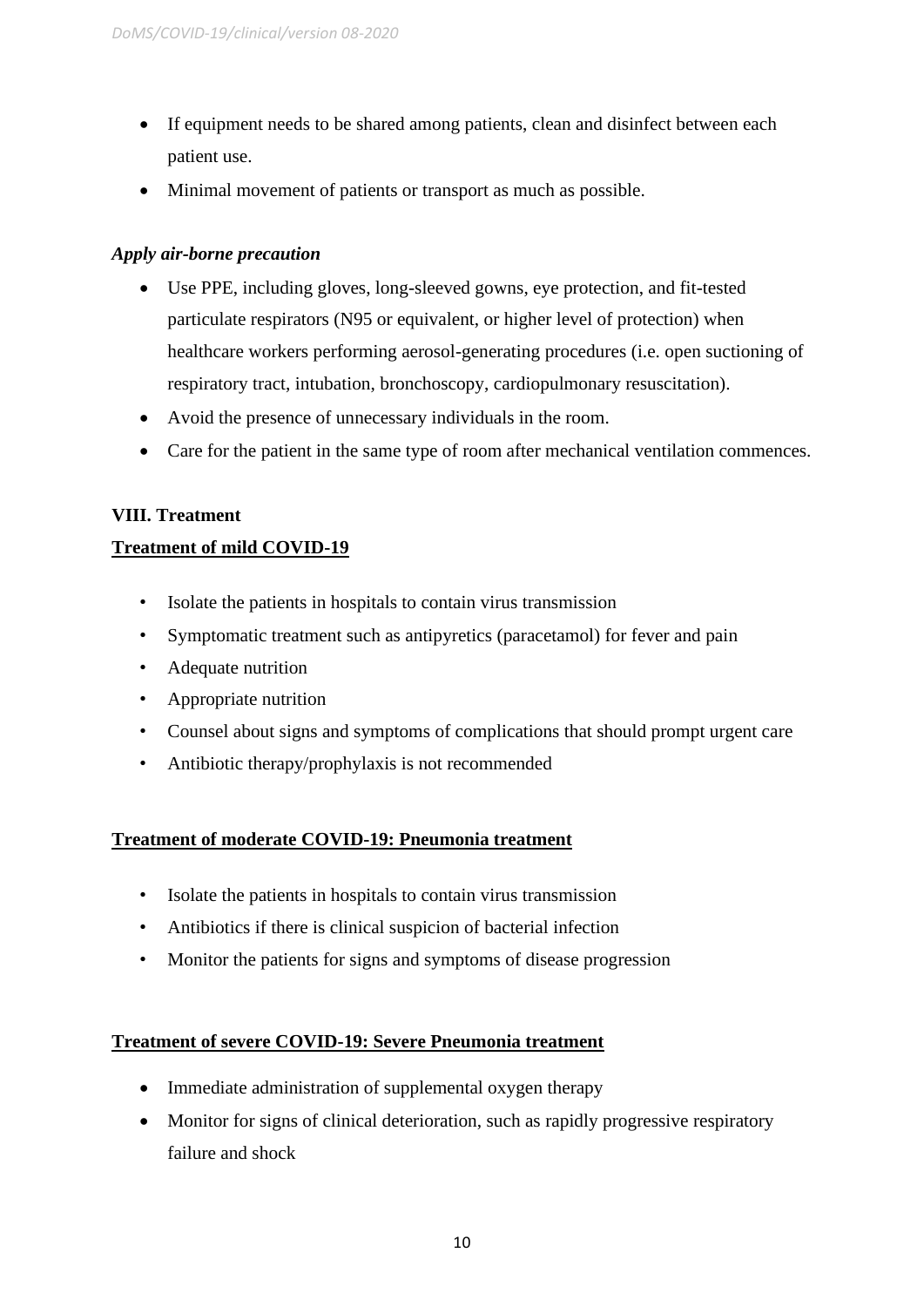- If equipment needs to be shared among patients, clean and disinfect between each patient use.
- Minimal movement of patients or transport as much as possible.

## *Apply air-borne precaution*

- Use PPE, including gloves, long-sleeved gowns, eye protection, and fit-tested particulate respirators (N95 or equivalent, or higher level of protection) when healthcare workers performing aerosol-generating procedures (i.e. open suctioning of respiratory tract, intubation, bronchoscopy, cardiopulmonary resuscitation).
- Avoid the presence of unnecessary individuals in the room.
- Care for the patient in the same type of room after mechanical ventilation commences.

## **VIII. Treatment**

## **Treatment of mild COVID-19**

- Isolate the patients in hospitals to contain virus transmission
- Symptomatic treatment such as antipyretics (paracetamol) for fever and pain
- Adequate nutrition
- Appropriate nutrition
- Counsel about signs and symptoms of complications that should prompt urgent care
- Antibiotic therapy/prophylaxis is not recommended

## **Treatment of moderate COVID-19: Pneumonia treatment**

- Isolate the patients in hospitals to contain virus transmission
- Antibiotics if there is clinical suspicion of bacterial infection
- Monitor the patients for signs and symptoms of disease progression

## **Treatment of severe COVID-19: Severe Pneumonia treatment**

- Immediate administration of supplemental oxygen therapy
- Monitor for signs of clinical deterioration, such as rapidly progressive respiratory failure and shock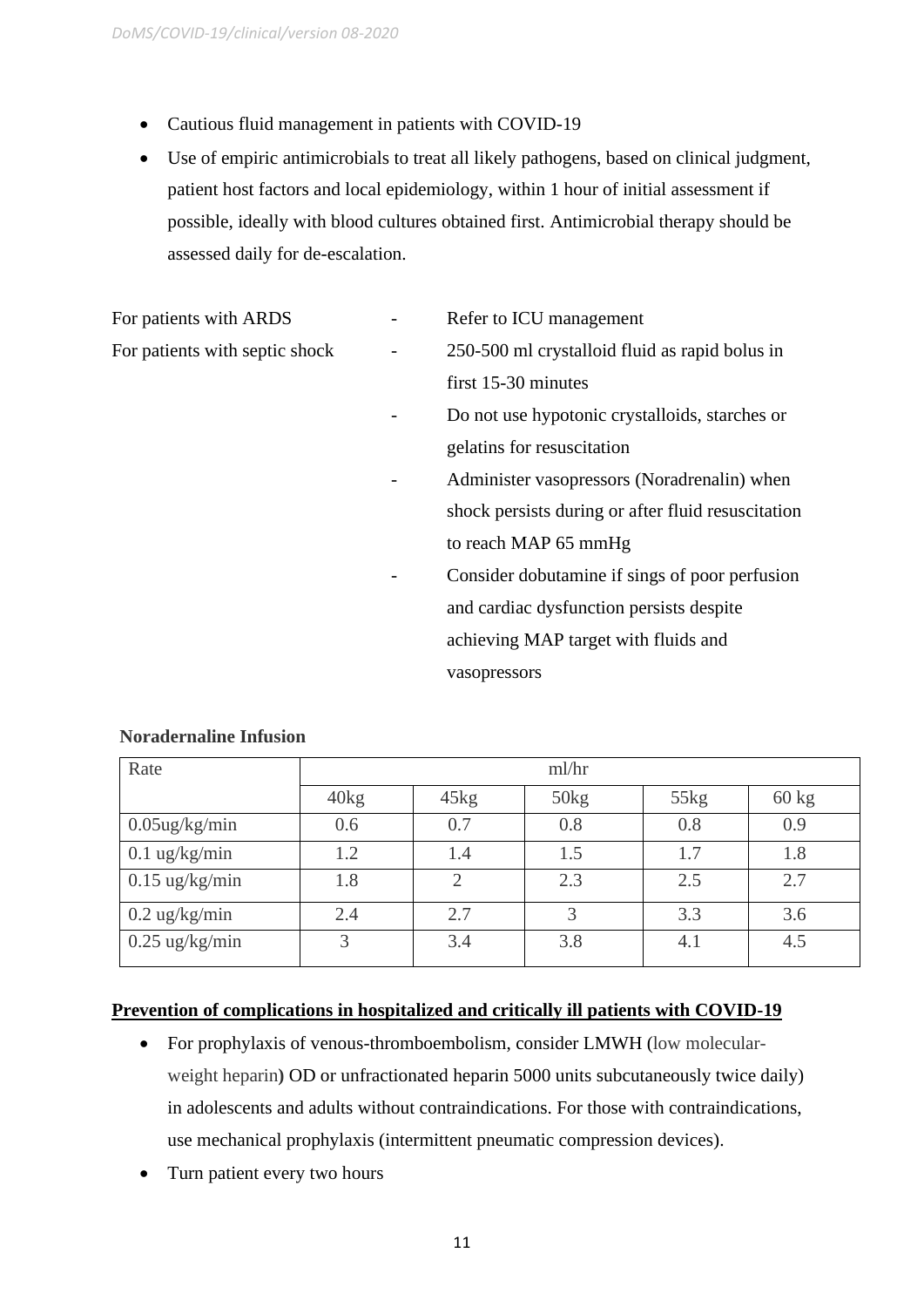- Cautious fluid management in patients with COVID-19
- Use of empiric antimicrobials to treat all likely pathogens, based on clinical judgment, patient host factors and local epidemiology, within 1 hour of initial assessment if possible, ideally with blood cultures obtained first. Antimicrobial therapy should be assessed daily for de-escalation.

|                   | Refer to ICU management                            |  |
|-------------------|----------------------------------------------------|--|
| $\qquad \qquad -$ | 250-500 ml crystalloid fluid as rapid bolus in     |  |
|                   | first 15-30 minutes                                |  |
|                   | Do not use hypotonic crystalloids, starches or     |  |
|                   | gelatins for resuscitation                         |  |
|                   | Administer vasopressors (Noradrenalin) when        |  |
|                   | shock persists during or after fluid resuscitation |  |
|                   | to reach MAP 65 mmHg                               |  |
|                   | Consider dobutamine if sings of poor perfusion     |  |
|                   | and cardiac dysfunction persists despite           |  |
|                   | achieving MAP target with fluids and               |  |
|                   | vasopressors                                       |  |
|                   |                                                    |  |

| Rate                    | ml/hr |      |      |      |                 |
|-------------------------|-------|------|------|------|-----------------|
|                         | 40kg  | 45kg | 50kg | 55kg | $60 \text{ kg}$ |
| $0.05$ ug/kg/min        | 0.6   | 0.7  | 0.8  | 0.8  | 0.9             |
| $0.1$ ug/kg/min         | 1.2   | 1.4  | 1.5  | 1.7  | 1.8             |
| $0.15$ ug/kg/min        | 1.8   |      | 2.3  | 2.5  | 2.7             |
| $0.2 \text{ ug/kg/min}$ | 2.4   | 2.7  | 3    | 3.3  | 3.6             |
| $0.25$ ug/kg/min        | 3     | 3.4  | 3.8  | 4.1  | 4.5             |

## **Noradernaline Infusion**

#### **Prevention of complications in hospitalized and critically ill patients with COVID-19**

- For prophylaxis of venous-thromboembolism, consider LMWH (low molecularweight heparin**)** OD or unfractionated heparin 5000 units subcutaneously twice daily) in adolescents and adults without contraindications. For those with contraindications, use mechanical prophylaxis (intermittent pneumatic compression devices).
- Turn patient every two hours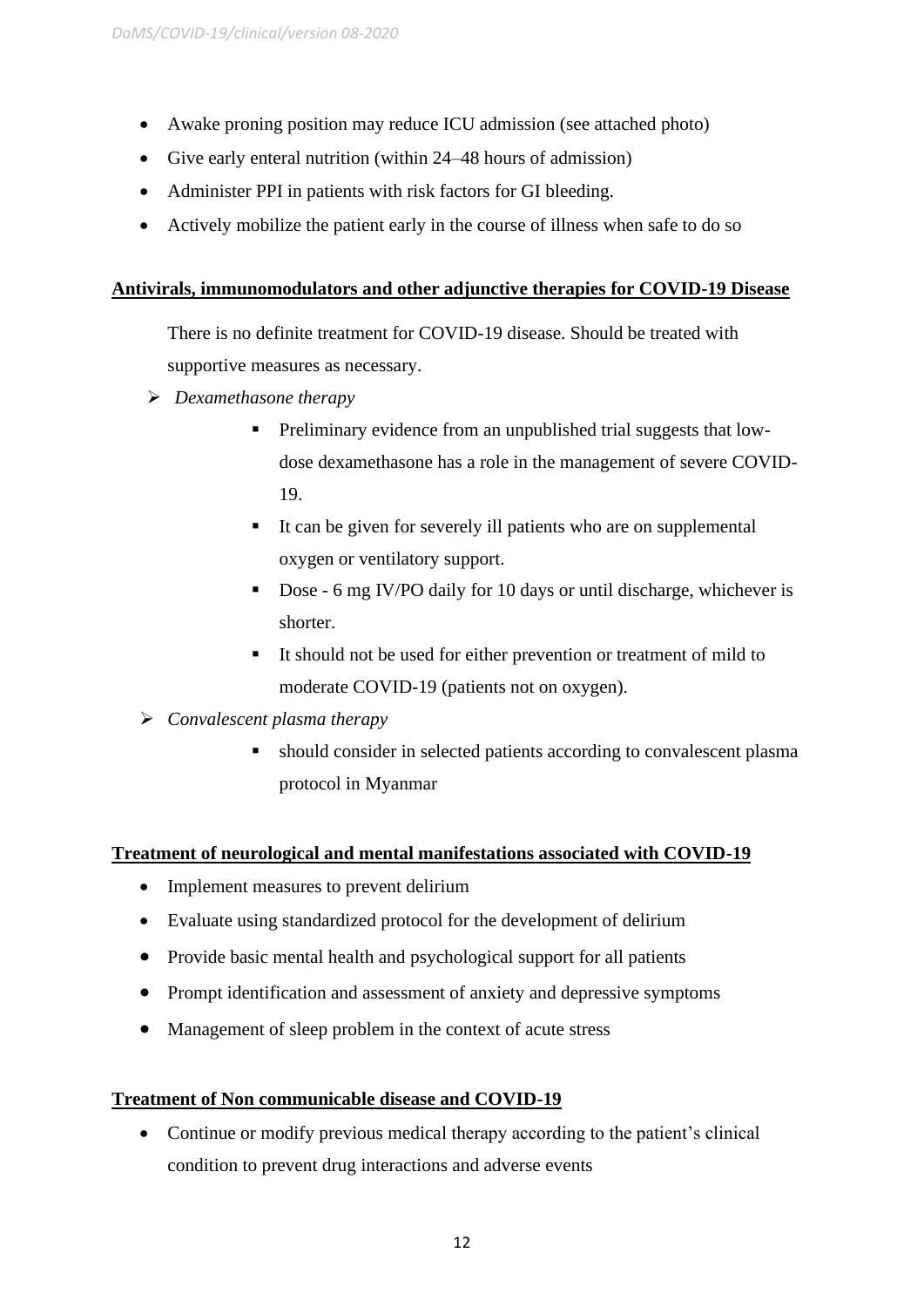- Awake proning position may reduce ICU admission (see attached photo)
- Give early enteral nutrition (within 24–48 hours of admission)
- Administer PPI in patients with risk factors for GI bleeding.
- Actively mobilize the patient early in the course of illness when safe to do so

## **Antivirals, immunomodulators and other adjunctive therapies for COVID-19 Disease**

There is no definite treatment for COVID-19 disease. Should be treated with supportive measures as necessary.

- ➢ *Dexamethasone therapy*
	- Preliminary evidence from an unpublished trial suggests that lowdose dexamethasone has a role in the management of severe COVID-19.
	- It can be given for severely ill patients who are on supplemental oxygen or ventilatory support.
	- Dose 6 mg IV/PO daily for 10 days or until discharge, whichever is shorter.
	- It should not be used for either prevention or treatment of mild to moderate COVID-19 (patients not on oxygen).
- ➢ *Convalescent plasma therapy* 
	- should consider in selected patients according to convalescent plasma protocol in Myanmar

## **Treatment of neurological and mental manifestations associated with COVID-19**

- Implement measures to prevent delirium
- Evaluate using standardized protocol for the development of delirium
- Provide basic mental health and psychological support for all patients
- Prompt identification and assessment of anxiety and depressive symptoms
- Management of sleep problem in the context of acute stress

## **Treatment of Non communicable disease and COVID-19**

• Continue or modify previous medical therapy according to the patient's clinical condition to prevent drug interactions and adverse events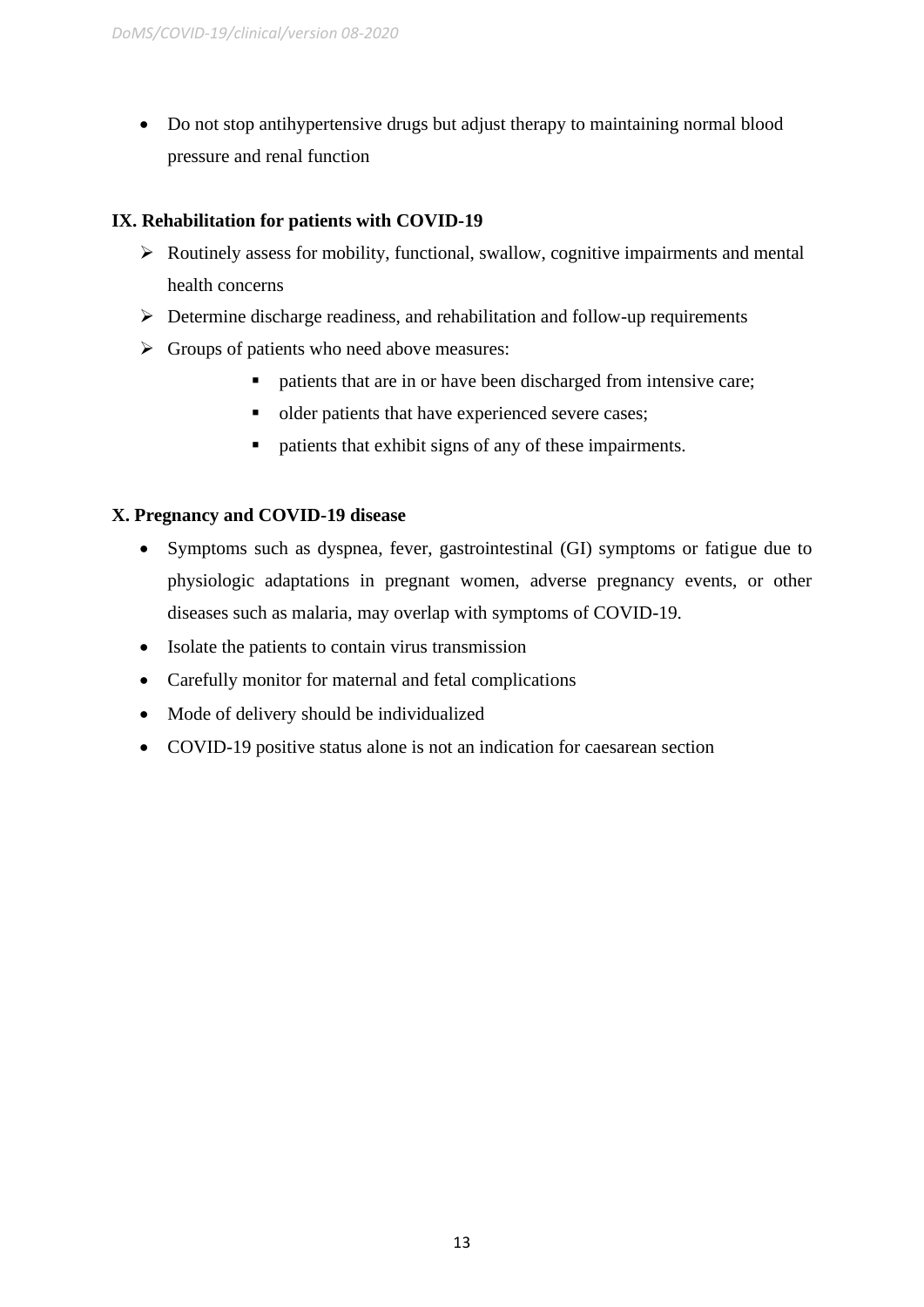• Do not stop antihypertensive drugs but adjust therapy to maintaining normal blood pressure and renal function

## **IX. Rehabilitation for patients with COVID-19**

- ➢ Routinely assess for mobility, functional, swallow, cognitive impairments and mental health concerns
- $\triangleright$  Determine discharge readiness, and rehabilitation and follow-up requirements
- $\triangleright$  Groups of patients who need above measures:
	- patients that are in or have been discharged from intensive care;
	- older patients that have experienced severe cases;
	- patients that exhibit signs of any of these impairments.

## **X. Pregnancy and COVID-19 disease**

- Symptoms such as dyspnea, fever, gastrointestinal (GI) symptoms or fatigue due to physiologic adaptations in pregnant women, adverse pregnancy events, or other diseases such as malaria, may overlap with symptoms of COVID-19.
- Isolate the patients to contain virus transmission
- Carefully monitor for maternal and fetal complications
- Mode of delivery should be individualized
- COVID-19 positive status alone is not an indication for caesarean section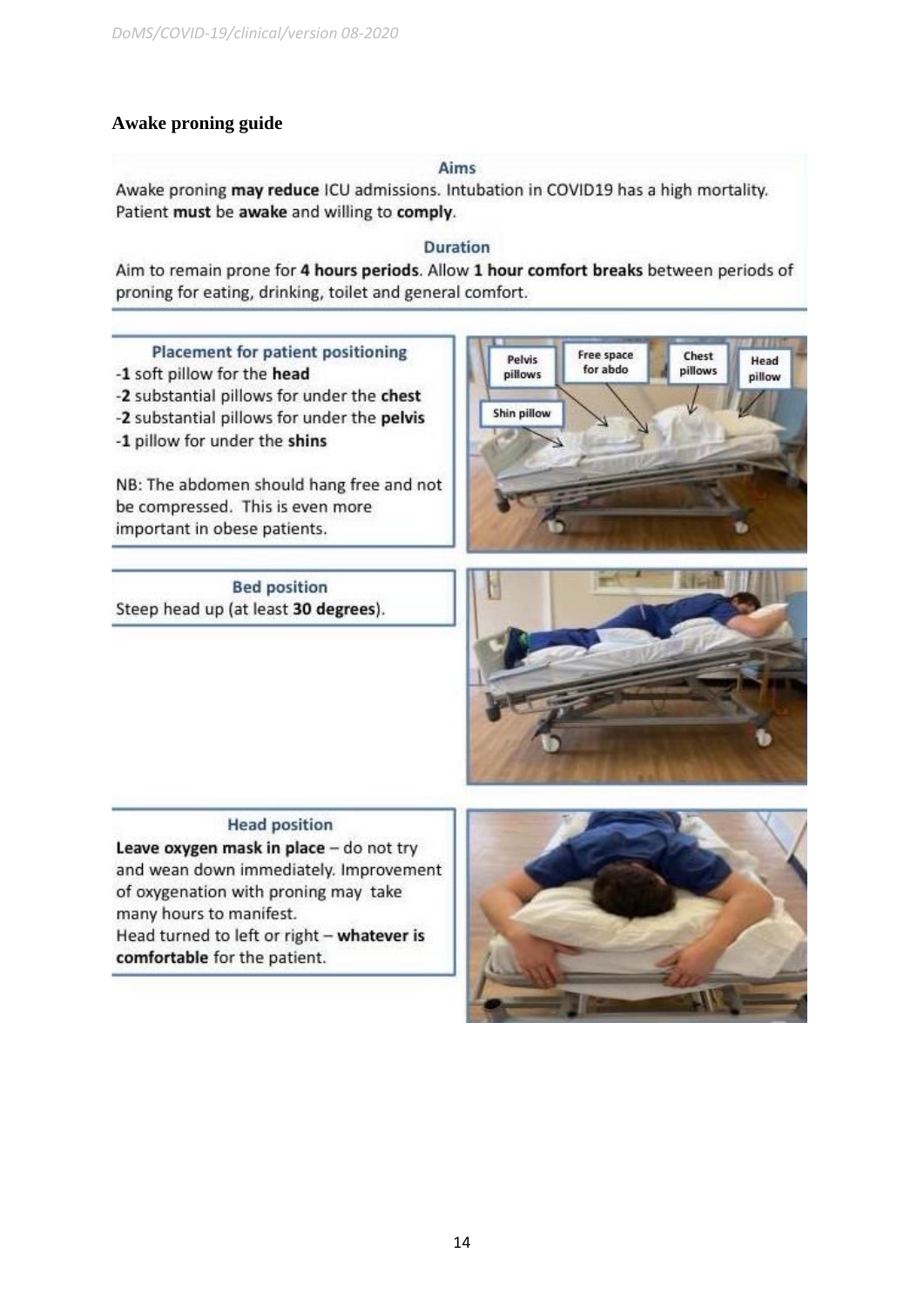## **Awake proning guide**

#### Aims

Awake proning may reduce ICU admissions. Intubation in COVID19 has a high mortality. Patient must be awake and willing to comply.

### **Duration**

Aim to remain prone for 4 hours periods. Allow 1 hour comfort breaks between periods of proning for eating, drinking, toilet and general comfort.

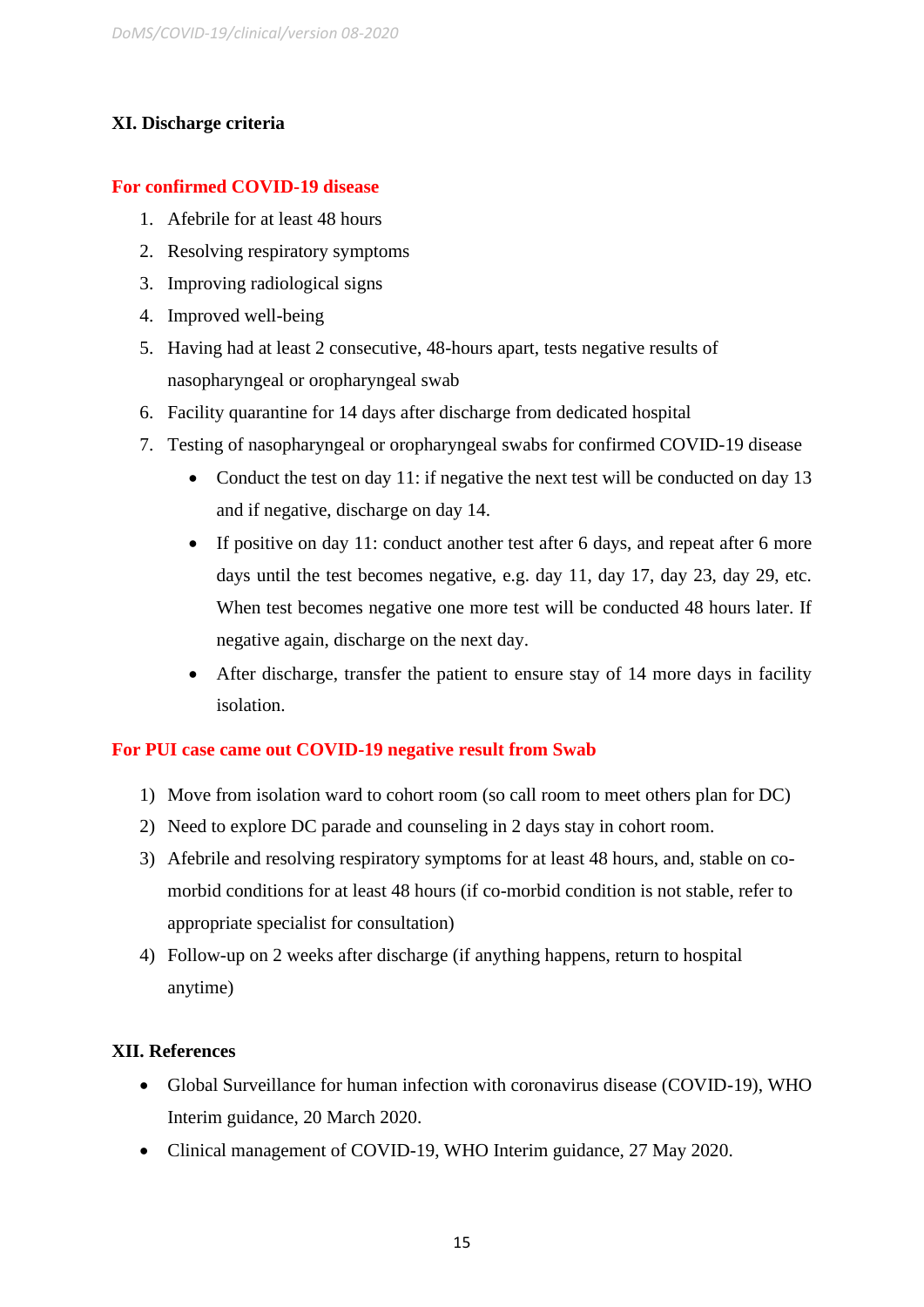## **XI. Discharge criteria**

## **For confirmed COVID-19 disease**

- 1. Afebrile for at least 48 hours
- 2. Resolving respiratory symptoms
- 3. Improving radiological signs
- 4. Improved well-being
- 5. Having had at least 2 consecutive, 48-hours apart, tests negative results of nasopharyngeal or oropharyngeal swab
- 6. Facility quarantine for 14 days after discharge from dedicated hospital
- 7. Testing of nasopharyngeal or oropharyngeal swabs for confirmed COVID-19 disease
	- Conduct the test on day 11: if negative the next test will be conducted on day 13 and if negative, discharge on day 14.
	- If positive on day 11: conduct another test after 6 days, and repeat after 6 more days until the test becomes negative, e.g. day 11, day 17, day 23, day 29, etc. When test becomes negative one more test will be conducted 48 hours later. If negative again, discharge on the next day.
	- After discharge, transfer the patient to ensure stay of 14 more days in facility isolation.

## **For PUI case came out COVID-19 negative result from Swab**

- 1) Move from isolation ward to cohort room (so call room to meet others plan for DC)
- 2) Need to explore DC parade and counseling in 2 days stay in cohort room.
- 3) Afebrile and resolving respiratory symptoms for at least 48 hours, and, stable on comorbid conditions for at least 48 hours (if co-morbid condition is not stable, refer to appropriate specialist for consultation)
- 4) Follow-up on 2 weeks after discharge (if anything happens, return to hospital anytime)

## **XII. References**

- Global Surveillance for human infection with coronavirus disease (COVID-19), WHO Interim guidance, 20 March 2020.
- Clinical management of COVID-19, WHO Interim guidance, 27 May 2020.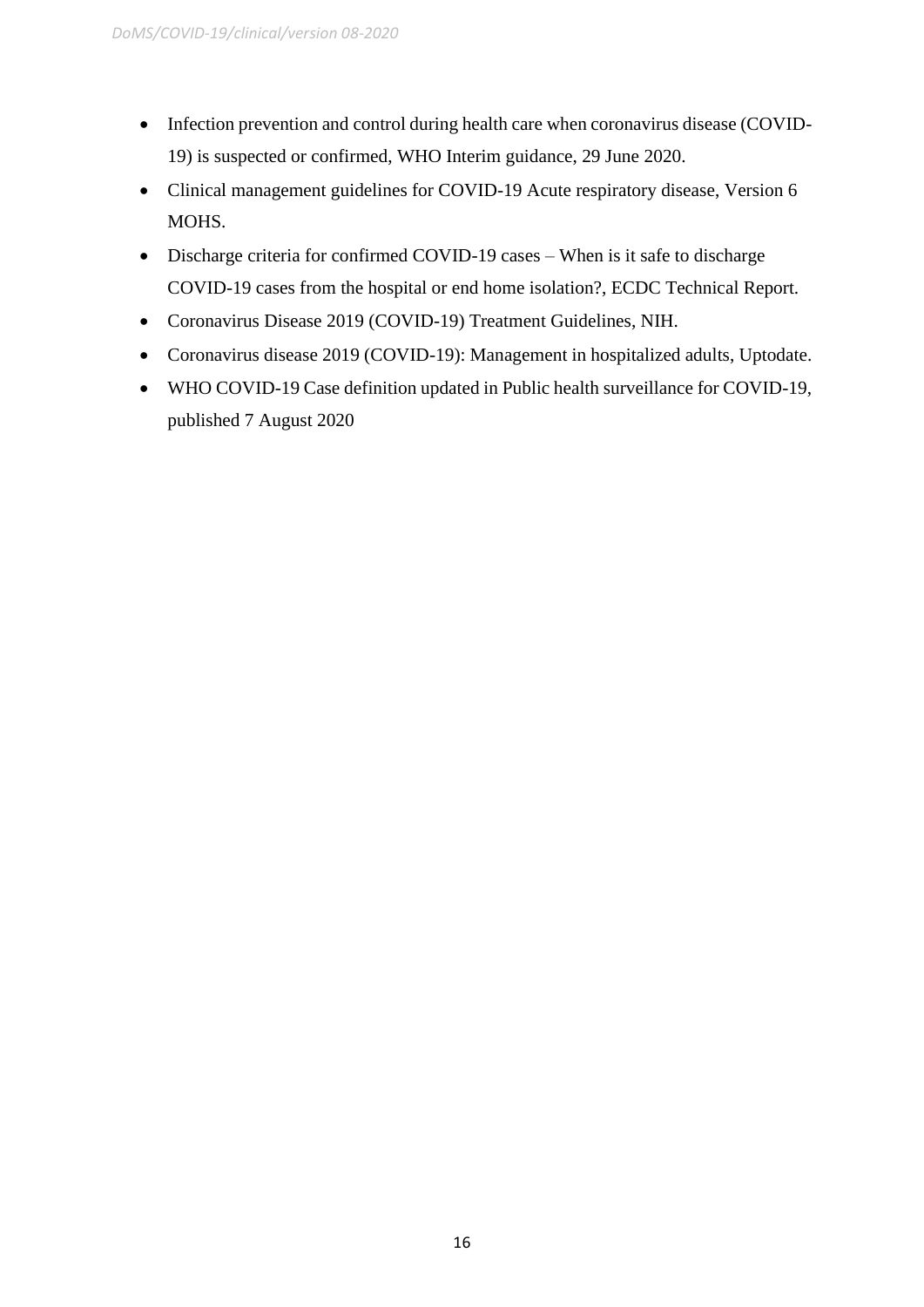- Infection prevention and control during health care when coronavirus disease (COVID-19) is suspected or confirmed, WHO Interim guidance, 29 June 2020.
- Clinical management guidelines for COVID-19 Acute respiratory disease, Version 6 MOHS.
- Discharge criteria for confirmed COVID-19 cases When is it safe to discharge COVID-19 cases from the hospital or end home isolation?, ECDC Technical Report.
- Coronavirus Disease 2019 (COVID-19) Treatment Guidelines, NIH.
- Coronavirus disease 2019 (COVID-19): Management in hospitalized adults, Uptodate.
- WHO COVID-19 Case definition updated in Public health surveillance for COVID-19, published 7 August 2020